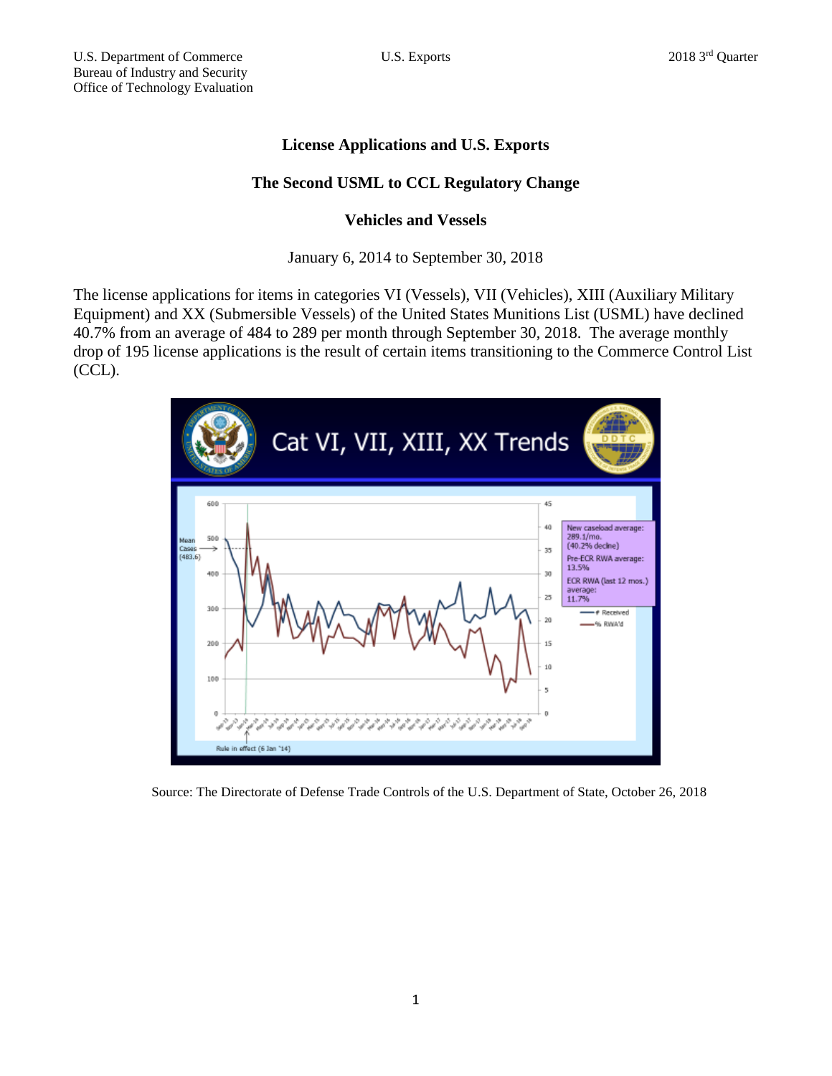# **License Applications and U.S. Exports**

# **The Second USML to CCL Regulatory Change**

## **Vehicles and Vessels**

### January 6, 2014 to September 30, 2018

The license applications for items in categories VI (Vessels), VII (Vehicles), XIII (Auxiliary Military Equipment) and XX (Submersible Vessels) of the United States Munitions List (USML) have declined 40.7% from an average of 484 to 289 per month through September 30, 2018. The average monthly drop of 195 license applications is the result of certain items transitioning to the Commerce Control List (CCL).



Source: The Directorate of Defense Trade Controls of the U.S. Department of State, October 26, 2018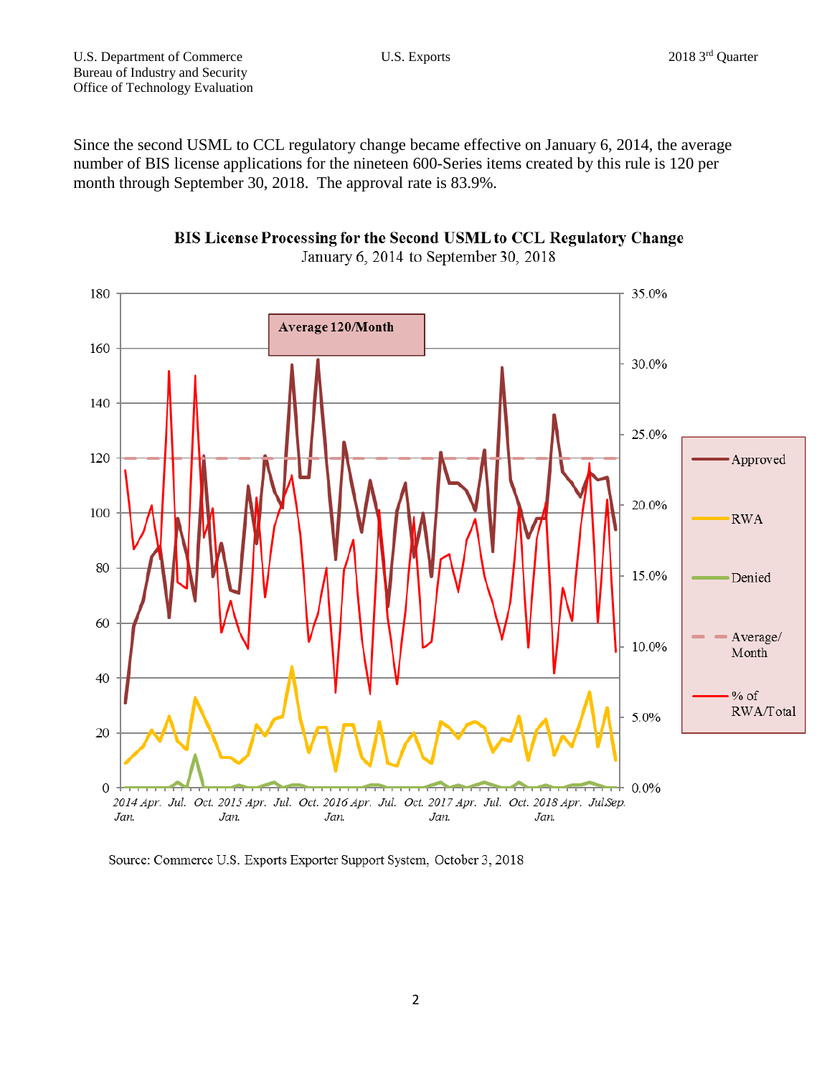Since the second USML to CCL regulatory change became effective on January 6, 2014, the average number of BIS license applications for the nineteen 600-Series items created by this rule is 120 per month through September 30, 2018. The approval rate is 83.9%.





Source: Commerce U.S. Exports Exporter Support System, October 3, 2018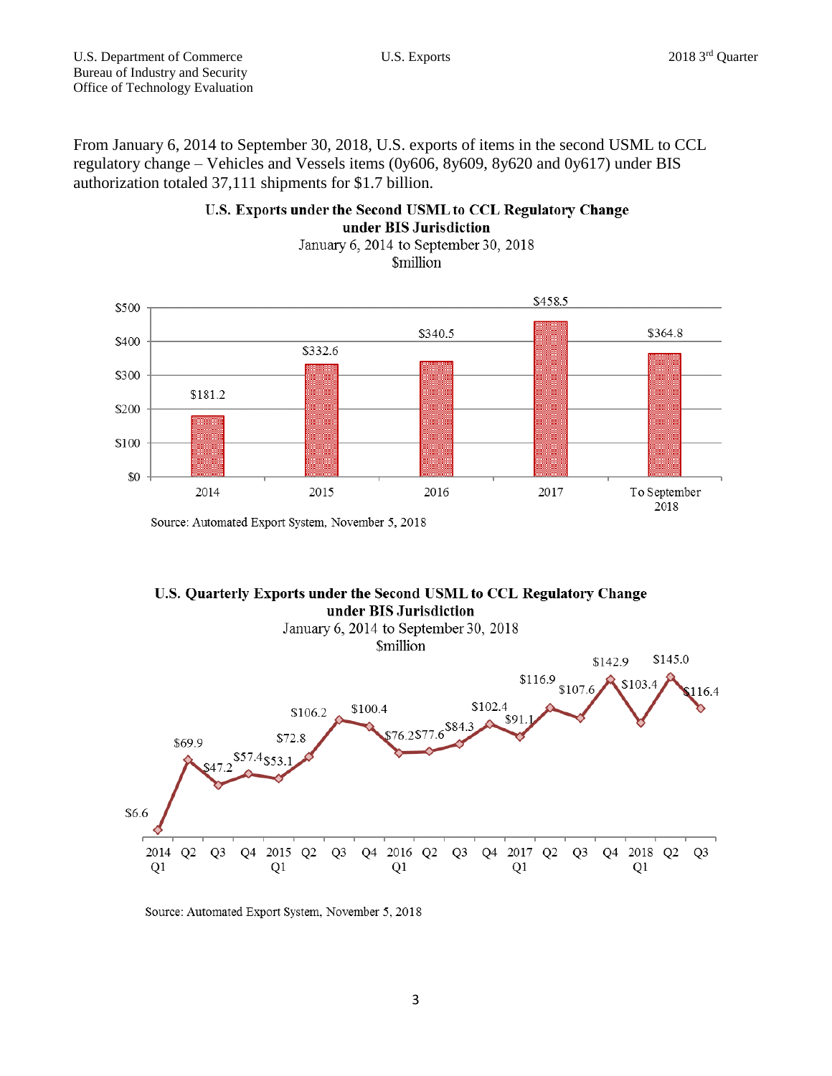From January 6, 2014 to September 30, 2018, U.S. exports of items in the second USML to CCL regulatory change – Vehicles and Vessels items (0y606, 8y609, 8y620 and 0y617) under BIS authorization totaled 37,111 shipments for \$1.7 billion.

### U.S. Exports under the Second USML to CCL Regulatory Change under BIS Jurisdiction

January 6, 2014 to September 30, 2018 **\$million** 



Source: Automated Export System, November 5, 2018

#### U.S. Quarterly Exports under the Second USML to CCL Regulatory Change under BIS Jurisdiction



Source: Automated Export System, November 5, 2018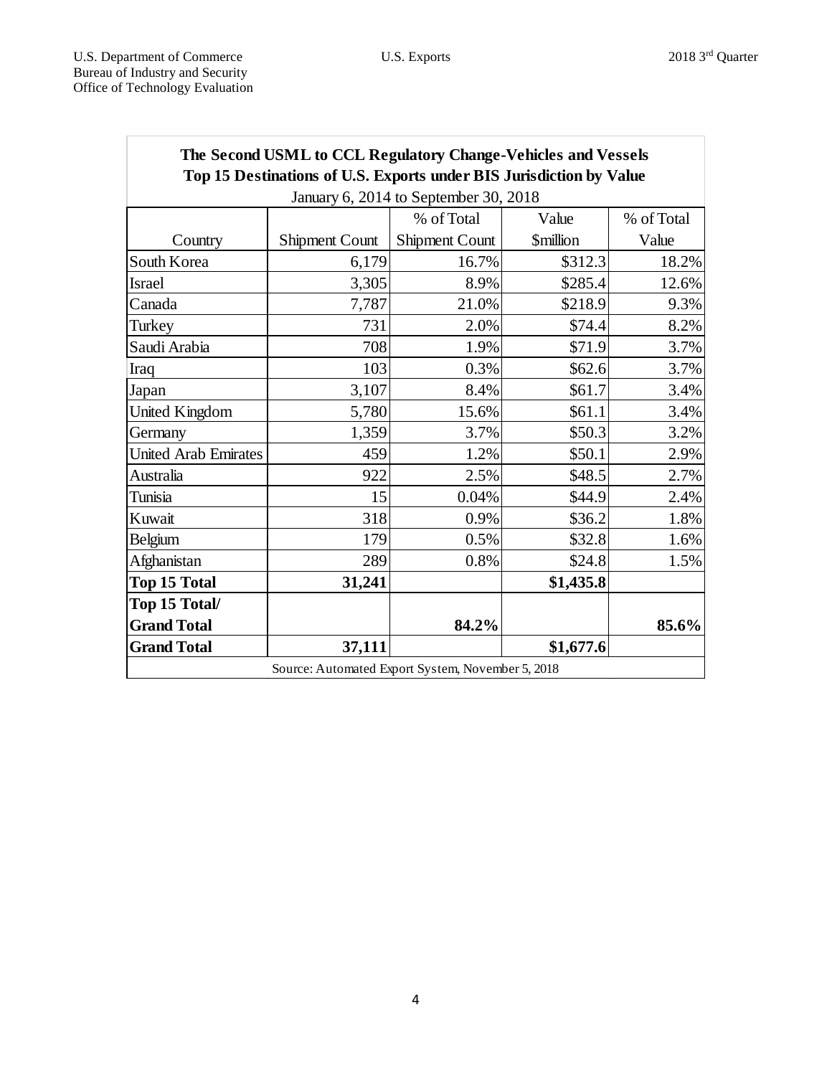| The Second USML to CCL Regulatory Change-Vehicles and Vessels<br>Top 15 Destinations of U.S. Exports under BIS Jurisdiction by Value |                       |                |                               |            |
|--------------------------------------------------------------------------------------------------------------------------------------|-----------------------|----------------|-------------------------------|------------|
| January 6, 2014 to September 30, 2018                                                                                                |                       |                |                               |            |
|                                                                                                                                      |                       | % of Total     | Value                         | % of Total |
| Country                                                                                                                              | <b>Shipment Count</b> | Shipment Count | <b><i><u>Smillion</u></i></b> | Value      |
| South Korea                                                                                                                          | 6,179                 | 16.7%          | \$312.3                       | 18.2%      |
| <b>Israel</b>                                                                                                                        | 3,305                 | 8.9%           | \$285.4                       | 12.6%      |
| Canada                                                                                                                               | 7,787                 | 21.0%          | \$218.9                       | 9.3%       |
| Turkey                                                                                                                               | 731                   | 2.0%           | \$74.4                        | 8.2%       |
| Saudi Arabia                                                                                                                         | 708                   | 1.9%           | \$71.9                        | 3.7%       |
| Iraq                                                                                                                                 | 103                   | 0.3%           | \$62.6                        | 3.7%       |
| Japan                                                                                                                                | 3,107                 | 8.4%           | \$61.7                        | 3.4%       |
| <b>United Kingdom</b>                                                                                                                | 5,780                 | 15.6%          | \$61.1                        | 3.4%       |
| Germany                                                                                                                              | 1,359                 | 3.7%           | \$50.3                        | 3.2%       |
| <b>United Arab Emirates</b>                                                                                                          | 459                   | 1.2%           | \$50.1                        | 2.9%       |
| Australia                                                                                                                            | 922                   | 2.5%           | \$48.5                        | 2.7%       |
| Tunisia                                                                                                                              | 15                    | 0.04%          | \$44.9                        | 2.4%       |
| Kuwait                                                                                                                               | 318                   | 0.9%           | \$36.2                        | 1.8%       |
| Belgium                                                                                                                              | 179                   | 0.5%           | \$32.8                        | 1.6%       |
| Afghanistan                                                                                                                          | 289                   | 0.8%           | \$24.8                        | 1.5%       |
| <b>Top 15 Total</b>                                                                                                                  | 31,241                |                | \$1,435.8                     |            |
| Top 15 Total/                                                                                                                        |                       |                |                               |            |
| <b>Grand Total</b>                                                                                                                   |                       | 84.2%          |                               | 85.6%      |
| <b>Grand Total</b>                                                                                                                   | 37,111                |                | \$1,677.6                     |            |
| Source: Automated Export System, November 5, 2018                                                                                    |                       |                |                               |            |